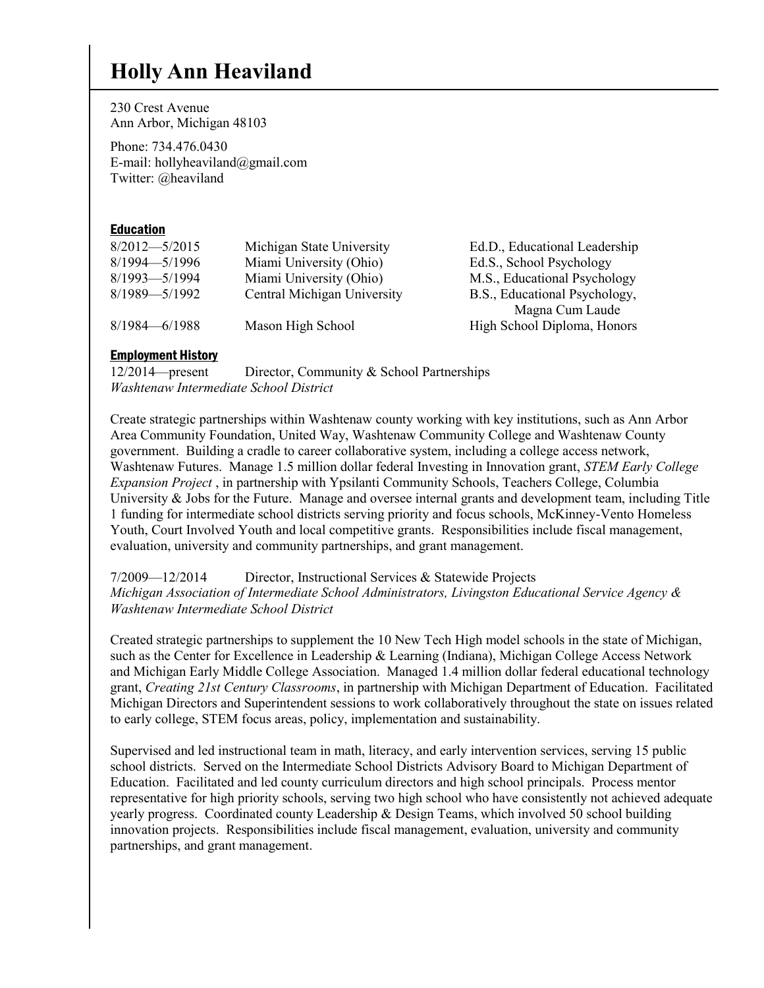## **Holly Ann Heaviland**

230 Crest Avenue Ann Arbor, Michigan 48103

Phone: 734.476.0430 E-mail: hollyheaviland@gmail.com Twitter: @heaviland

#### Education

| $8/2012 - 5/2015$ | Michigan State University   | Ed.D., Educational Leadership |
|-------------------|-----------------------------|-------------------------------|
| $8/1994 - 5/1996$ | Miami University (Ohio)     | Ed.S., School Psychology      |
| $8/1993 - 5/1994$ | Miami University (Ohio)     | M.S., Educational Psychology  |
| $8/1989 - 5/1992$ | Central Michigan University | B.S., Educational Psychology, |
|                   |                             | Magna Cum Laude               |
| $8/1984 - 6/1988$ | Mason High School           | High School Diploma, Honors   |
|                   |                             |                               |

#### Employment History

12/2014—present Director, Community & School Partnerships *Washtenaw Intermediate School District*

Create strategic partnerships within Washtenaw county working with key institutions, such as Ann Arbor Area Community Foundation, United Way, Washtenaw Community College and Washtenaw County government. Building a cradle to career collaborative system, including a college access network, Washtenaw Futures. Manage 1.5 million dollar federal Investing in Innovation grant, *STEM Early College Expansion Project* , in partnership with Ypsilanti Community Schools, Teachers College, Columbia University & Jobs for the Future. Manage and oversee internal grants and development team, including Title 1 funding for intermediate school districts serving priority and focus schools, McKinney-Vento Homeless Youth, Court Involved Youth and local competitive grants. Responsibilities include fiscal management, evaluation, university and community partnerships, and grant management.

7/2009—12/2014 Director, Instructional Services & Statewide Projects *Michigan Association of Intermediate School Administrators, Livingston Educational Service Agency & Washtenaw Intermediate School District*

Created strategic partnerships to supplement the 10 New Tech High model schools in the state of Michigan, such as the Center for Excellence in Leadership & Learning (Indiana), Michigan College Access Network and Michigan Early Middle College Association. Managed 1.4 million dollar federal educational technology grant, *Creating 21st Century Classrooms*, in partnership with Michigan Department of Education. Facilitated Michigan Directors and Superintendent sessions to work collaboratively throughout the state on issues related to early college, STEM focus areas, policy, implementation and sustainability.

Supervised and led instructional team in math, literacy, and early intervention services, serving 15 public school districts. Served on the Intermediate School Districts Advisory Board to Michigan Department of Education. Facilitated and led county curriculum directors and high school principals. Process mentor representative for high priority schools, serving two high school who have consistently not achieved adequate yearly progress. Coordinated county Leadership & Design Teams, which involved 50 school building innovation projects. Responsibilities include fiscal management, evaluation, university and community partnerships, and grant management.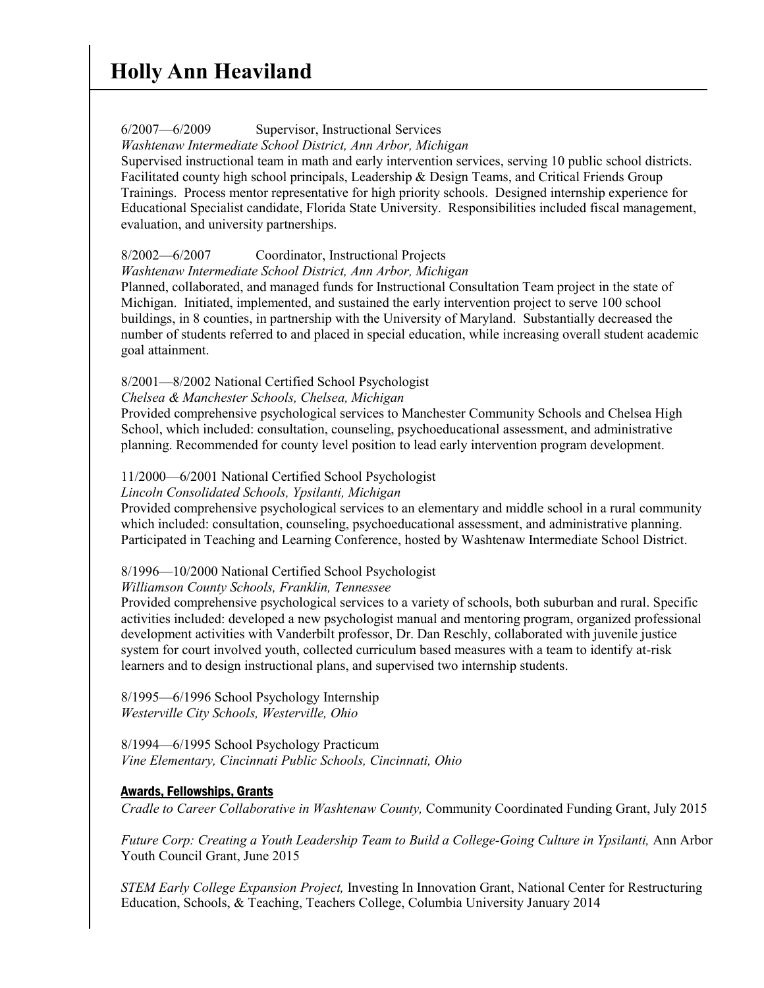#### 6/2007—6/2009 Supervisor, Instructional Services

*Washtenaw Intermediate School District, Ann Arbor, Michigan*

Supervised instructional team in math and early intervention services, serving 10 public school districts. Facilitated county high school principals, Leadership & Design Teams, and Critical Friends Group Trainings. Process mentor representative for high priority schools. Designed internship experience for Educational Specialist candidate, Florida State University. Responsibilities included fiscal management, evaluation, and university partnerships.

### 8/2002—6/2007 Coordinator, Instructional Projects

*Washtenaw Intermediate School District, Ann Arbor, Michigan*

Planned, collaborated, and managed funds for Instructional Consultation Team project in the state of Michigan. Initiated, implemented, and sustained the early intervention project to serve 100 school buildings, in 8 counties, in partnership with the University of Maryland. Substantially decreased the number of students referred to and placed in special education, while increasing overall student academic goal attainment.

### 8/2001—8/2002 National Certified School Psychologist

#### *Chelsea & Manchester Schools, Chelsea, Michigan*

Provided comprehensive psychological services to Manchester Community Schools and Chelsea High School, which included: consultation, counseling, psychoeducational assessment, and administrative planning. Recommended for county level position to lead early intervention program development.

#### 11/2000—6/2001 National Certified School Psychologist

*Lincoln Consolidated Schools, Ypsilanti, Michigan*

Provided comprehensive psychological services to an elementary and middle school in a rural community which included: consultation, counseling, psychoeducational assessment, and administrative planning. Participated in Teaching and Learning Conference, hosted by Washtenaw Intermediate School District.

### 8/1996—10/2000 National Certified School Psychologist

#### *Williamson County Schools, Franklin, Tennessee*

Provided comprehensive psychological services to a variety of schools, both suburban and rural. Specific activities included: developed a new psychologist manual and mentoring program, organized professional development activities with Vanderbilt professor, Dr. Dan Reschly, collaborated with juvenile justice system for court involved youth, collected curriculum based measures with a team to identify at-risk learners and to design instructional plans, and supervised two internship students.

8/1995—6/1996 School Psychology Internship *Westerville City Schools, Westerville, Ohio*

8/1994—6/1995 School Psychology Practicum *Vine Elementary, Cincinnati Public Schools, Cincinnati, Ohio*

### Awards, Fellowships, Grants

*Cradle to Career Collaborative in Washtenaw County,* Community Coordinated Funding Grant, July 2015

*Future Corp: Creating a Youth Leadership Team to Build a College-Going Culture in Ypsilanti,* Ann Arbor Youth Council Grant, June 2015

*STEM Early College Expansion Project,* Investing In Innovation Grant, National Center for Restructuring Education, Schools, & Teaching, Teachers College, Columbia University January 2014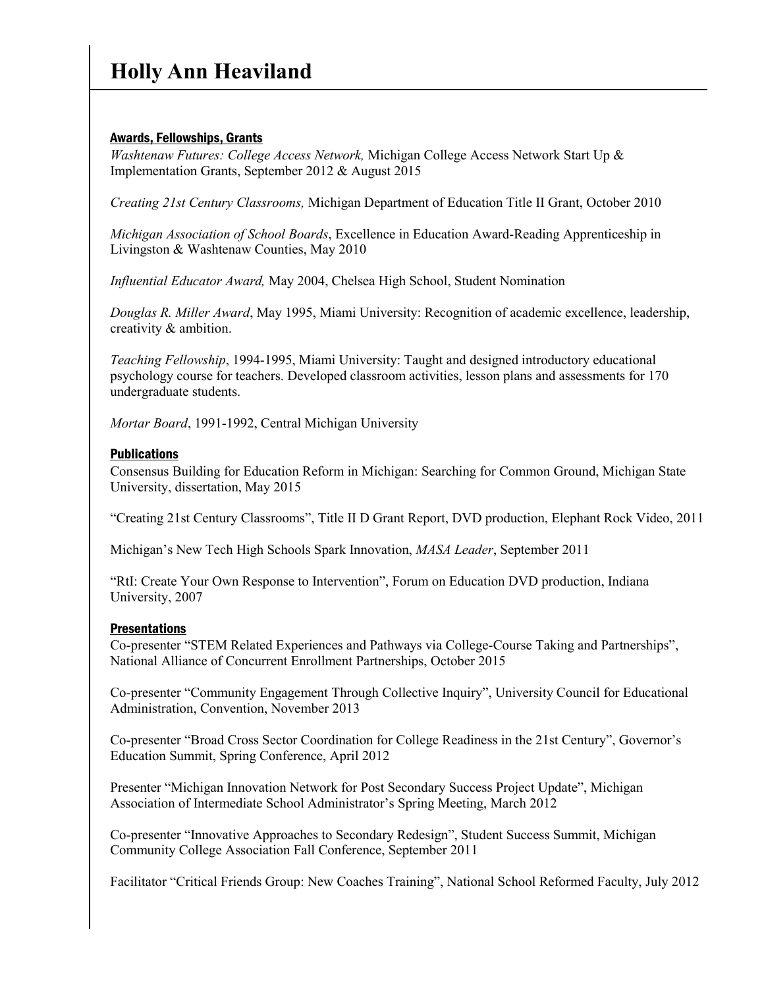## Awards, Fellowships, Grants

*Washtenaw Futures: College Access Network,* Michigan College Access Network Start Up & Implementation Grants, September 2012 & August 2015

*Creating 21st Century Classrooms,* Michigan Department of Education Title II Grant, October 2010

*Michigan Association of School Boards*, Excellence in Education Award-Reading Apprenticeship in Livingston & Washtenaw Counties, May 2010

*Influential Educator Award,* May 2004, Chelsea High School, Student Nomination

*Douglas R. Miller Award*, May 1995, Miami University: Recognition of academic excellence, leadership, creativity & ambition.

*Teaching Fellowship*, 1994-1995, Miami University: Taught and designed introductory educational psychology course for teachers. Developed classroom activities, lesson plans and assessments for 170 undergraduate students.

*Mortar Board*, 1991-1992, Central Michigan University

### **Publications**

Consensus Building for Education Reform in Michigan: Searching for Common Ground, Michigan State University, dissertation, May 2015

"Creating 21st Century Classrooms", Title II D Grant Report, DVD production, Elephant Rock Video, 2011

Michigan's New Tech High Schools Spark Innovation, *MASA Leader*, September 2011

"RtI: Create Your Own Response to Intervention", Forum on Education DVD production, Indiana University, 2007

### **Presentations**

Co-presenter "STEM Related Experiences and Pathways via College-Course Taking and Partnerships", National Alliance of Concurrent Enrollment Partnerships, October 2015

Co-presenter "Community Engagement Through Collective Inquiry", University Council for Educational Administration, Convention, November 2013

Co-presenter "Broad Cross Sector Coordination for College Readiness in the 21st Century", Governor's Education Summit, Spring Conference, April 2012

Presenter "Michigan Innovation Network for Post Secondary Success Project Update", Michigan Association of Intermediate School Administrator's Spring Meeting, March 2012

Co-presenter "Innovative Approaches to Secondary Redesign", Student Success Summit, Michigan Community College Association Fall Conference, September 2011

Facilitator "Critical Friends Group: New Coaches Training", National School Reformed Faculty, July 2012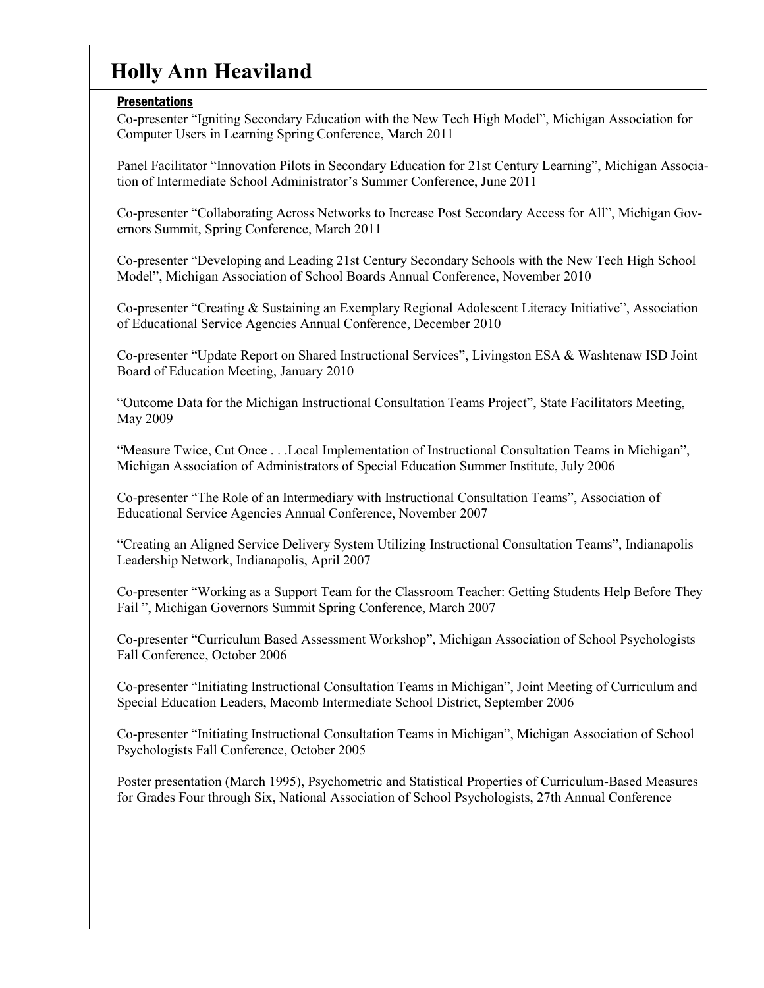# **Holly Ann Heaviland**

### **Presentations**

Co-presenter "Igniting Secondary Education with the New Tech High Model", Michigan Association for Computer Users in Learning Spring Conference, March 2011

Panel Facilitator "Innovation Pilots in Secondary Education for 21st Century Learning", Michigan Association of Intermediate School Administrator's Summer Conference, June 2011

Co-presenter "Collaborating Across Networks to Increase Post Secondary Access for All", Michigan Governors Summit, Spring Conference, March 2011

Co-presenter "Developing and Leading 21st Century Secondary Schools with the New Tech High School Model", Michigan Association of School Boards Annual Conference, November 2010

Co-presenter "Creating & Sustaining an Exemplary Regional Adolescent Literacy Initiative", Association of Educational Service Agencies Annual Conference, December 2010

Co-presenter "Update Report on Shared Instructional Services", Livingston ESA & Washtenaw ISD Joint Board of Education Meeting, January 2010

"Outcome Data for the Michigan Instructional Consultation Teams Project", State Facilitators Meeting, May 2009

"Measure Twice, Cut Once . . .Local Implementation of Instructional Consultation Teams in Michigan", Michigan Association of Administrators of Special Education Summer Institute, July 2006

Co-presenter "The Role of an Intermediary with Instructional Consultation Teams", Association of Educational Service Agencies Annual Conference, November 2007

"Creating an Aligned Service Delivery System Utilizing Instructional Consultation Teams", Indianapolis Leadership Network, Indianapolis, April 2007

Co-presenter "Working as a Support Team for the Classroom Teacher: Getting Students Help Before They Fail ", Michigan Governors Summit Spring Conference, March 2007

Co-presenter "Curriculum Based Assessment Workshop", Michigan Association of School Psychologists Fall Conference, October 2006

Co-presenter "Initiating Instructional Consultation Teams in Michigan", Joint Meeting of Curriculum and Special Education Leaders, Macomb Intermediate School District, September 2006

Co-presenter "Initiating Instructional Consultation Teams in Michigan", Michigan Association of School Psychologists Fall Conference, October 2005

Poster presentation (March 1995), Psychometric and Statistical Properties of Curriculum-Based Measures for Grades Four through Six, National Association of School Psychologists, 27th Annual Conference